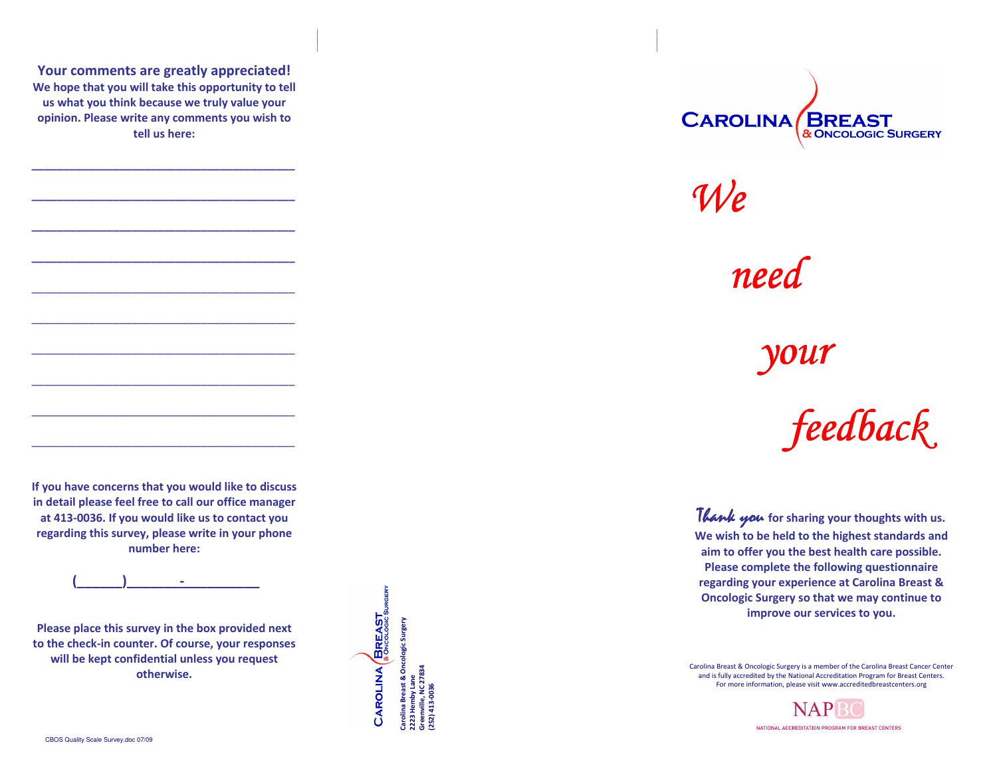Your comments are greatly appreciated! We hope that you will take this opportunity to tell us what you think because we truly value your opinion. Please write any comments you wish to tell us here:

\_\_\_\_\_\_\_\_\_\_\_\_\_\_\_\_\_\_\_\_\_\_\_\_\_\_\_\_\_\_\_\_\_\_\_\_\_\_\_\_\_\_

\_\_\_\_\_\_\_\_\_\_\_\_\_\_\_\_\_\_\_\_\_\_\_\_\_\_\_\_\_\_\_\_\_\_\_\_\_\_\_\_\_\_

\_\_\_\_\_\_\_\_\_\_\_\_\_\_\_\_\_\_\_\_\_\_\_\_\_\_\_\_\_\_\_\_\_\_\_\_\_\_\_\_\_\_

\_\_\_\_\_\_\_\_\_\_\_\_\_\_\_\_\_\_\_\_\_\_\_\_\_\_\_\_\_\_\_\_\_\_\_\_\_\_\_\_\_\_

\_\_\_\_\_\_\_\_\_\_\_\_\_\_\_\_\_\_\_\_\_\_\_\_\_\_\_\_\_\_\_\_\_\_\_\_\_\_\_\_\_\_

 $\overline{\phantom{a}}$  , and the contribution of the contribution of the contribution of the contribution of the contribution of the contribution of the contribution of the contribution of the contribution of the contribution of the

If you have concerns that you would like to discuss in detail please feel free to call our office managerat 413-0036. If you would like us to contact you regarding this survey, please write in your phone number here:

 $(\_\_$ 

Please place this survey in the box provided next to the check-in counter. Of course, your responses will be kept confidential unless you request otherwise.

CAROLINA BREAST Carolina Breast & Oncologic Surgery na Breast & Oncologic Surgery<br>lemby Lane Greenville, NC 27834 2223 Hemby Lane (252) 413-0036



We

need

your

feedback

Thank you for sharing your thoughts with us. We wish to be held to the highest standards and aim to offer you the best health care possible. Please complete the following questionnaire regarding your experience at Carolina Breast & Oncologic Surgery so that we may continue to improve our services to you.

Carolina Breast & Oncologic Surgery is a member of the Carolina Breast Cancer Center and is fully accredited by the National Accreditation Program for Breast Centers. For more information, please visit www.accreditedbreastcenters.org